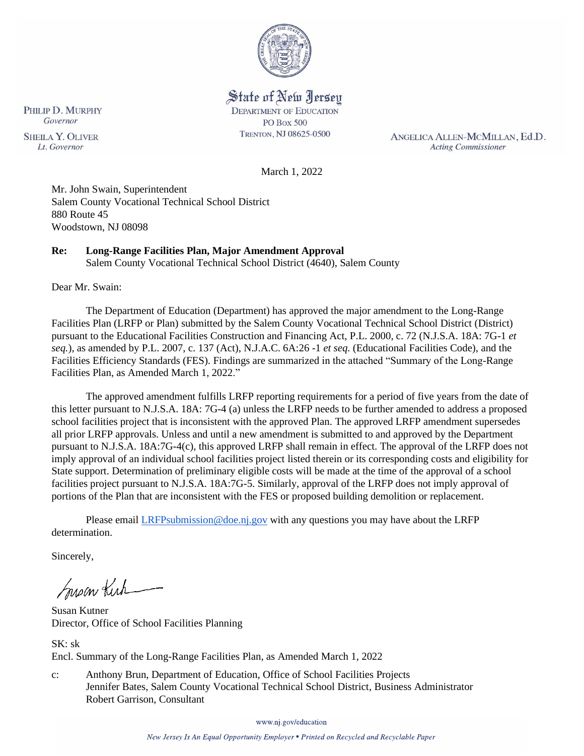

State of New Jersey **DEPARTMENT OF EDUCATION PO Box 500** TRENTON, NJ 08625-0500

ANGELICA ALLEN-MCMILLAN, Ed.D. **Acting Commissioner** 

March 1, 2022

Mr. John Swain, Superintendent Salem County Vocational Technical School District 880 Route 45 Woodstown, NJ 08098

# **Re: Long-Range Facilities Plan, Major Amendment Approval**

Salem County Vocational Technical School District (4640), Salem County

Dear Mr. Swain:

The Department of Education (Department) has approved the major amendment to the Long-Range Facilities Plan (LRFP or Plan) submitted by the Salem County Vocational Technical School District (District) pursuant to the Educational Facilities Construction and Financing Act, P.L. 2000, c. 72 (N.J.S.A. 18A: 7G-1 *et seq.*), as amended by P.L. 2007, c. 137 (Act), N.J.A.C. 6A:26 -1 *et seq.* (Educational Facilities Code), and the Facilities Efficiency Standards (FES). Findings are summarized in the attached "Summary of the Long-Range Facilities Plan, as Amended March 1, 2022."

The approved amendment fulfills LRFP reporting requirements for a period of five years from the date of this letter pursuant to N.J.S.A. 18A: 7G-4 (a) unless the LRFP needs to be further amended to address a proposed school facilities project that is inconsistent with the approved Plan. The approved LRFP amendment supersedes all prior LRFP approvals. Unless and until a new amendment is submitted to and approved by the Department pursuant to N.J.S.A. 18A:7G-4(c), this approved LRFP shall remain in effect. The approval of the LRFP does not imply approval of an individual school facilities project listed therein or its corresponding costs and eligibility for State support. Determination of preliminary eligible costs will be made at the time of the approval of a school facilities project pursuant to N.J.S.A. 18A:7G-5. Similarly, approval of the LRFP does not imply approval of portions of the Plan that are inconsistent with the FES or proposed building demolition or replacement.

Please email **LRFPsubmission@doe.nj.gov** with any questions you may have about the LRFP determination.

Sincerely,

Susan Kich

Susan Kutner Director, Office of School Facilities Planning

 $SK:$  sk Encl. Summary of the Long-Range Facilities Plan, as Amended March 1, 2022

c: Anthony Brun, Department of Education, Office of School Facilities Projects Jennifer Bates, Salem County Vocational Technical School District, Business Administrator Robert Garrison, Consultant

www.nj.gov/education

PHILIP D. MURPHY Governor **SHEILA Y. OLIVER** Lt. Governor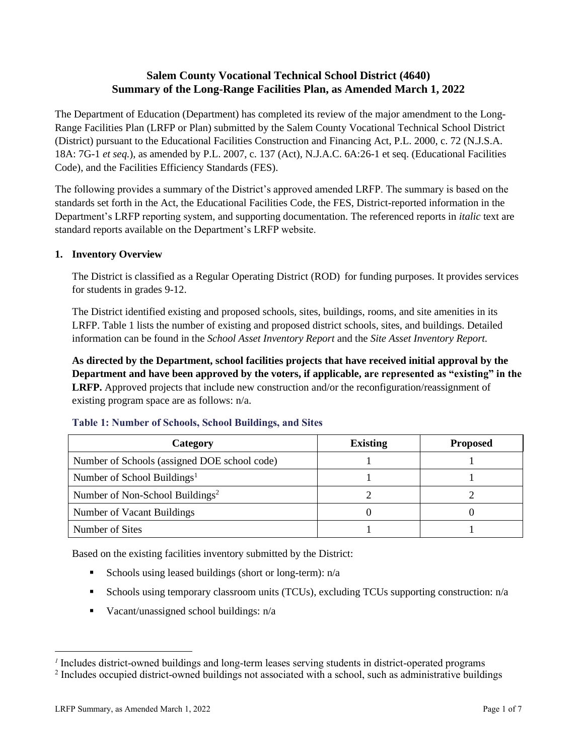# **Salem County Vocational Technical School District (4640) Summary of the Long-Range Facilities Plan, as Amended March 1, 2022**

The Department of Education (Department) has completed its review of the major amendment to the Long-Range Facilities Plan (LRFP or Plan) submitted by the Salem County Vocational Technical School District (District) pursuant to the Educational Facilities Construction and Financing Act, P.L. 2000, c. 72 (N.J.S.A. 18A: 7G-1 *et seq.*), as amended by P.L. 2007, c. 137 (Act), N.J.A.C. 6A:26-1 et seq. (Educational Facilities Code), and the Facilities Efficiency Standards (FES).

The following provides a summary of the District's approved amended LRFP. The summary is based on the standards set forth in the Act, the Educational Facilities Code, the FES, District-reported information in the Department's LRFP reporting system, and supporting documentation. The referenced reports in *italic* text are standard reports available on the Department's LRFP website.

### **1. Inventory Overview**

The District is classified as a Regular Operating District (ROD) for funding purposes. It provides services for students in grades 9-12.

The District identified existing and proposed schools, sites, buildings, rooms, and site amenities in its LRFP. Table 1 lists the number of existing and proposed district schools, sites, and buildings. Detailed information can be found in the *School Asset Inventory Report* and the *Site Asset Inventory Report.*

**As directed by the Department, school facilities projects that have received initial approval by the Department and have been approved by the voters, if applicable, are represented as "existing" in the LRFP.** Approved projects that include new construction and/or the reconfiguration/reassignment of existing program space are as follows: n/a.

| Category                                     | <b>Existing</b> | <b>Proposed</b> |
|----------------------------------------------|-----------------|-----------------|
| Number of Schools (assigned DOE school code) |                 |                 |
| Number of School Buildings <sup>1</sup>      |                 |                 |
| Number of Non-School Buildings <sup>2</sup>  |                 |                 |
| Number of Vacant Buildings                   |                 |                 |
| Number of Sites                              |                 |                 |

#### **Table 1: Number of Schools, School Buildings, and Sites**

Based on the existing facilities inventory submitted by the District:

- **Exercise** Schools using leased buildings (short or long-term):  $n/a$
- Schools using temporary classroom units (TCUs), excluding TCUs supporting construction: n/a
- Vacant/unassigned school buildings: n/a

*<sup>1</sup>* Includes district-owned buildings and long-term leases serving students in district-operated programs

<sup>&</sup>lt;sup>2</sup> Includes occupied district-owned buildings not associated with a school, such as administrative buildings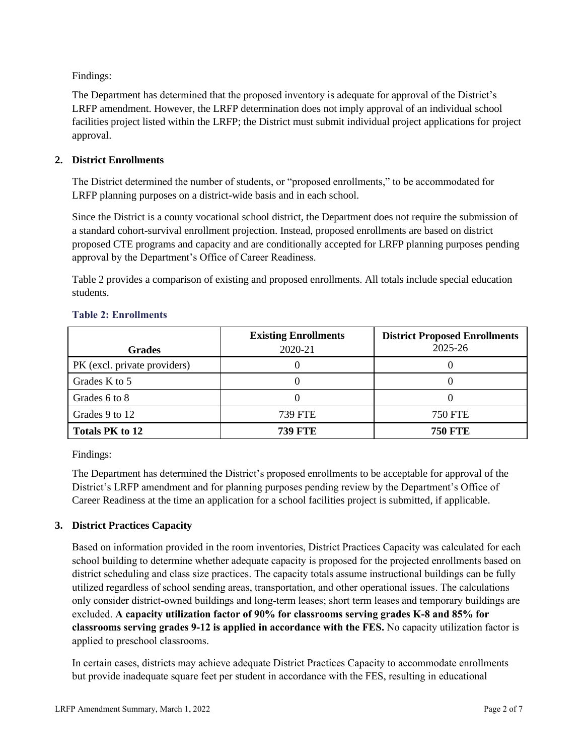Findings:

The Department has determined that the proposed inventory is adequate for approval of the District's LRFP amendment. However, the LRFP determination does not imply approval of an individual school facilities project listed within the LRFP; the District must submit individual project applications for project approval.

## **2. District Enrollments**

The District determined the number of students, or "proposed enrollments," to be accommodated for LRFP planning purposes on a district-wide basis and in each school.

Since the District is a county vocational school district, the Department does not require the submission of a standard cohort-survival enrollment projection. Instead, proposed enrollments are based on district proposed CTE programs and capacity and are conditionally accepted for LRFP planning purposes pending approval by the Department's Office of Career Readiness.

Table 2 provides a comparison of existing and proposed enrollments. All totals include special education students.

| <b>Grades</b>                | <b>Existing Enrollments</b><br>2020-21 | <b>District Proposed Enrollments</b><br>2025-26 |
|------------------------------|----------------------------------------|-------------------------------------------------|
| PK (excl. private providers) |                                        |                                                 |
| Grades K to 5                |                                        |                                                 |
| Grades 6 to 8                |                                        |                                                 |
| Grades 9 to 12               | <b>739 FTE</b>                         | <b>750 FTE</b>                                  |
| <b>Totals PK to 12</b>       | 739 FTE                                | <b>750 FTE</b>                                  |

#### **Table 2: Enrollments**

Findings:

The Department has determined the District's proposed enrollments to be acceptable for approval of the District's LRFP amendment and for planning purposes pending review by the Department's Office of Career Readiness at the time an application for a school facilities project is submitted, if applicable.

## **3. District Practices Capacity**

Based on information provided in the room inventories, District Practices Capacity was calculated for each school building to determine whether adequate capacity is proposed for the projected enrollments based on district scheduling and class size practices. The capacity totals assume instructional buildings can be fully utilized regardless of school sending areas, transportation, and other operational issues. The calculations only consider district-owned buildings and long-term leases; short term leases and temporary buildings are excluded. **A capacity utilization factor of 90% for classrooms serving grades K-8 and 85% for classrooms serving grades 9-12 is applied in accordance with the FES.** No capacity utilization factor is applied to preschool classrooms.

In certain cases, districts may achieve adequate District Practices Capacity to accommodate enrollments but provide inadequate square feet per student in accordance with the FES, resulting in educational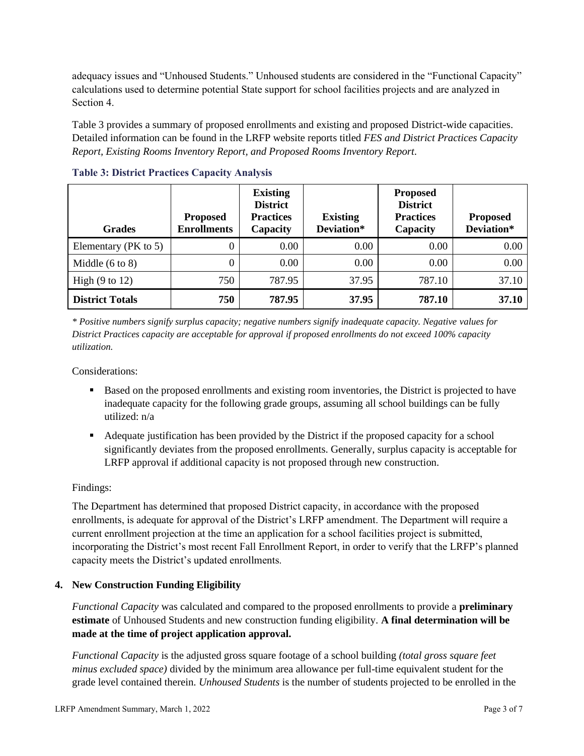adequacy issues and "Unhoused Students." Unhoused students are considered in the "Functional Capacity" calculations used to determine potential State support for school facilities projects and are analyzed in Section 4.

Table 3 provides a summary of proposed enrollments and existing and proposed District-wide capacities. Detailed information can be found in the LRFP website reports titled *FES and District Practices Capacity Report, Existing Rooms Inventory Report, and Proposed Rooms Inventory Report.*

| <b>Grades</b>              | <b>Proposed</b><br><b>Enrollments</b> | <b>Existing</b><br><b>District</b><br><b>Practices</b><br>Capacity | <b>Existing</b><br>Deviation* | <b>Proposed</b><br><b>District</b><br><b>Practices</b><br>Capacity | <b>Proposed</b><br>Deviation* |
|----------------------------|---------------------------------------|--------------------------------------------------------------------|-------------------------------|--------------------------------------------------------------------|-------------------------------|
| Elementary ( $PK$ to 5)    | 0                                     | 0.00                                                               | 0.00                          | 0.00                                                               | 0.00                          |
| Middle $(6 \text{ to } 8)$ | 0                                     | 0.00                                                               | 0.00                          | 0.00                                                               | 0.00                          |
| High $(9 \text{ to } 12)$  | 750                                   | 787.95                                                             | 37.95                         | 787.10                                                             | 37.10                         |
| <b>District Totals</b>     | 750                                   | 787.95                                                             | 37.95                         | 787.10                                                             | 37.10                         |

**Table 3: District Practices Capacity Analysis**

*\* Positive numbers signify surplus capacity; negative numbers signify inadequate capacity. Negative values for District Practices capacity are acceptable for approval if proposed enrollments do not exceed 100% capacity utilization.*

Considerations:

- Based on the proposed enrollments and existing room inventories, the District is projected to have inadequate capacity for the following grade groups, assuming all school buildings can be fully utilized: n/a
- Adequate justification has been provided by the District if the proposed capacity for a school significantly deviates from the proposed enrollments. Generally, surplus capacity is acceptable for LRFP approval if additional capacity is not proposed through new construction.

## Findings:

The Department has determined that proposed District capacity, in accordance with the proposed enrollments, is adequate for approval of the District's LRFP amendment. The Department will require a current enrollment projection at the time an application for a school facilities project is submitted, incorporating the District's most recent Fall Enrollment Report, in order to verify that the LRFP's planned capacity meets the District's updated enrollments.

#### **4. New Construction Funding Eligibility**

*Functional Capacity* was calculated and compared to the proposed enrollments to provide a **preliminary estimate** of Unhoused Students and new construction funding eligibility. **A final determination will be made at the time of project application approval.**

*Functional Capacity* is the adjusted gross square footage of a school building *(total gross square feet minus excluded space)* divided by the minimum area allowance per full-time equivalent student for the grade level contained therein. *Unhoused Students* is the number of students projected to be enrolled in the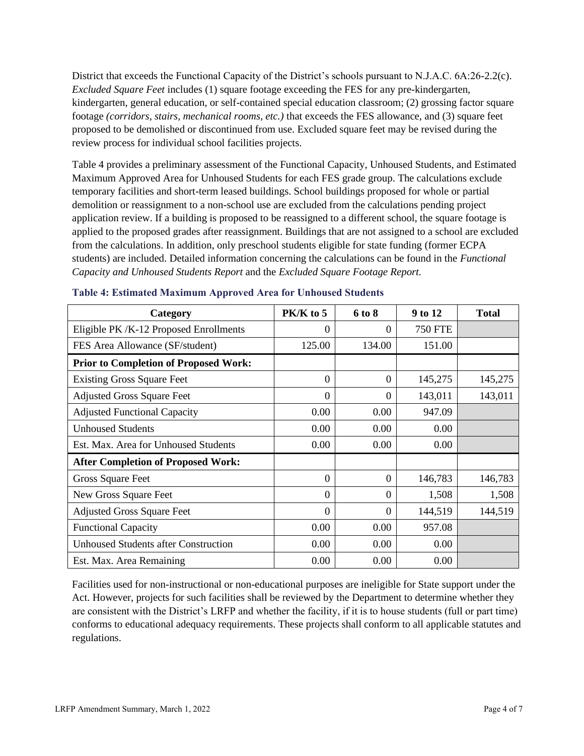District that exceeds the Functional Capacity of the District's schools pursuant to N.J.A.C. 6A:26-2.2(c). *Excluded Square Feet* includes (1) square footage exceeding the FES for any pre-kindergarten, kindergarten, general education, or self-contained special education classroom; (2) grossing factor square footage *(corridors, stairs, mechanical rooms, etc.)* that exceeds the FES allowance, and (3) square feet proposed to be demolished or discontinued from use. Excluded square feet may be revised during the review process for individual school facilities projects.

Table 4 provides a preliminary assessment of the Functional Capacity, Unhoused Students, and Estimated Maximum Approved Area for Unhoused Students for each FES grade group. The calculations exclude temporary facilities and short-term leased buildings. School buildings proposed for whole or partial demolition or reassignment to a non-school use are excluded from the calculations pending project application review. If a building is proposed to be reassigned to a different school, the square footage is applied to the proposed grades after reassignment. Buildings that are not assigned to a school are excluded from the calculations. In addition, only preschool students eligible for state funding (former ECPA students) are included. Detailed information concerning the calculations can be found in the *Functional Capacity and Unhoused Students Report* and the *Excluded Square Footage Report.*

| Category                                     | $PK/K$ to 5    | 6 to 8   | 9 to 12        | <b>Total</b> |
|----------------------------------------------|----------------|----------|----------------|--------------|
| Eligible PK/K-12 Proposed Enrollments        | $\Omega$       | $\Omega$ | <b>750 FTE</b> |              |
| FES Area Allowance (SF/student)              | 125.00         | 134.00   | 151.00         |              |
| <b>Prior to Completion of Proposed Work:</b> |                |          |                |              |
| <b>Existing Gross Square Feet</b>            | $\theta$       | $\Omega$ | 145,275        | 145,275      |
| <b>Adjusted Gross Square Feet</b>            | $\Omega$       | 0        | 143,011        | 143,011      |
| <b>Adjusted Functional Capacity</b>          | 0.00           | 0.00     | 947.09         |              |
| <b>Unhoused Students</b>                     | 0.00           | 0.00     | 0.00           |              |
| Est. Max. Area for Unhoused Students         | 0.00           | 0.00     | 0.00           |              |
| <b>After Completion of Proposed Work:</b>    |                |          |                |              |
| Gross Square Feet                            | $\theta$       | $\Omega$ | 146,783        | 146,783      |
| New Gross Square Feet                        | $\Omega$       | $\Omega$ | 1,508          | 1,508        |
| <b>Adjusted Gross Square Feet</b>            | $\overline{0}$ | $\Omega$ | 144,519        | 144,519      |
| <b>Functional Capacity</b>                   | 0.00           | 0.00     | 957.08         |              |
| <b>Unhoused Students after Construction</b>  | 0.00           | 0.00     | 0.00           |              |
| Est. Max. Area Remaining                     | 0.00           | 0.00     | 0.00           |              |

#### **Table 4: Estimated Maximum Approved Area for Unhoused Students**

Facilities used for non-instructional or non-educational purposes are ineligible for State support under the Act. However, projects for such facilities shall be reviewed by the Department to determine whether they are consistent with the District's LRFP and whether the facility, if it is to house students (full or part time) conforms to educational adequacy requirements. These projects shall conform to all applicable statutes and regulations.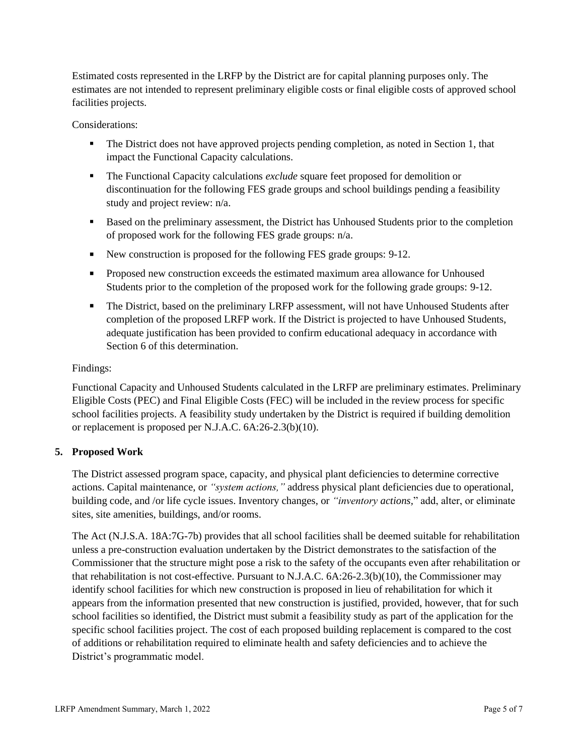Estimated costs represented in the LRFP by the District are for capital planning purposes only. The estimates are not intended to represent preliminary eligible costs or final eligible costs of approved school facilities projects.

Considerations:

- **•** The District does not have approved projects pending completion, as noted in Section 1, that impact the Functional Capacity calculations.
- **The Functional Capacity calculations** *exclude* square feet proposed for demolition or discontinuation for the following FES grade groups and school buildings pending a feasibility study and project review: n/a.
- Based on the preliminary assessment, the District has Unhoused Students prior to the completion of proposed work for the following FES grade groups: n/a.
- New construction is proposed for the following FES grade groups: 9-12.
- Proposed new construction exceeds the estimated maximum area allowance for Unhoused Students prior to the completion of the proposed work for the following grade groups: 9-12.
- **•** The District, based on the preliminary LRFP assessment, will not have Unhoused Students after completion of the proposed LRFP work. If the District is projected to have Unhoused Students, adequate justification has been provided to confirm educational adequacy in accordance with Section 6 of this determination.

## Findings:

Functional Capacity and Unhoused Students calculated in the LRFP are preliminary estimates. Preliminary Eligible Costs (PEC) and Final Eligible Costs (FEC) will be included in the review process for specific school facilities projects. A feasibility study undertaken by the District is required if building demolition or replacement is proposed per N.J.A.C. 6A:26-2.3(b)(10).

## **5. Proposed Work**

The District assessed program space, capacity, and physical plant deficiencies to determine corrective actions. Capital maintenance, or *"system actions,"* address physical plant deficiencies due to operational, building code, and /or life cycle issues. Inventory changes, or *"inventory actions,*" add, alter, or eliminate sites, site amenities, buildings, and/or rooms.

The Act (N.J.S.A. 18A:7G-7b) provides that all school facilities shall be deemed suitable for rehabilitation unless a pre-construction evaluation undertaken by the District demonstrates to the satisfaction of the Commissioner that the structure might pose a risk to the safety of the occupants even after rehabilitation or that rehabilitation is not cost-effective. Pursuant to N.J.A.C. 6A:26-2.3(b)(10), the Commissioner may identify school facilities for which new construction is proposed in lieu of rehabilitation for which it appears from the information presented that new construction is justified, provided, however, that for such school facilities so identified, the District must submit a feasibility study as part of the application for the specific school facilities project. The cost of each proposed building replacement is compared to the cost of additions or rehabilitation required to eliminate health and safety deficiencies and to achieve the District's programmatic model.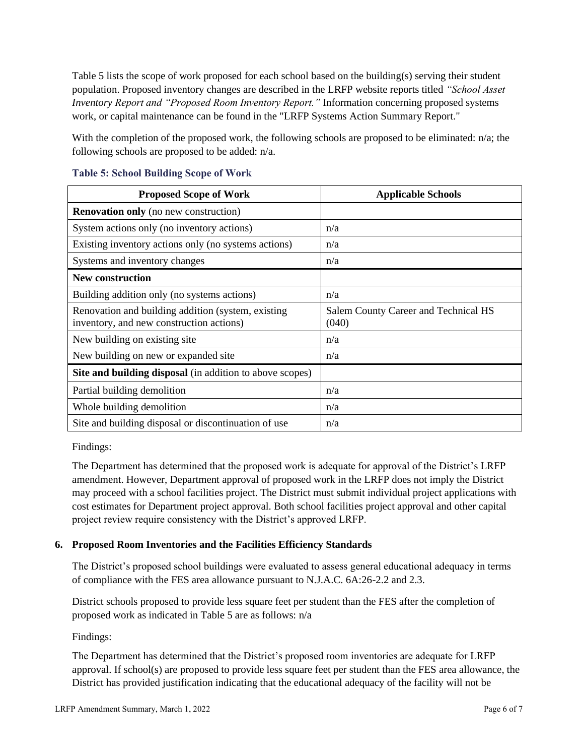Table 5 lists the scope of work proposed for each school based on the building(s) serving their student population. Proposed inventory changes are described in the LRFP website reports titled *"School Asset Inventory Report and "Proposed Room Inventory Report."* Information concerning proposed systems work, or capital maintenance can be found in the "LRFP Systems Action Summary Report."

With the completion of the proposed work, the following schools are proposed to be eliminated: n/a; the following schools are proposed to be added: n/a.

| <b>Proposed Scope of Work</b>                                                                  | <b>Applicable Schools</b>                     |
|------------------------------------------------------------------------------------------------|-----------------------------------------------|
| <b>Renovation only</b> (no new construction)                                                   |                                               |
| System actions only (no inventory actions)                                                     | n/a                                           |
| Existing inventory actions only (no systems actions)                                           | n/a                                           |
| Systems and inventory changes                                                                  | n/a                                           |
| New construction                                                                               |                                               |
| Building addition only (no systems actions)                                                    | n/a                                           |
| Renovation and building addition (system, existing<br>inventory, and new construction actions) | Salem County Career and Technical HS<br>(040) |
| New building on existing site                                                                  | n/a                                           |
| New building on new or expanded site                                                           | n/a                                           |
| <b>Site and building disposal</b> (in addition to above scopes)                                |                                               |
| Partial building demolition                                                                    | n/a                                           |
| Whole building demolition                                                                      | n/a                                           |
| Site and building disposal or discontinuation of use                                           | n/a                                           |

### **Table 5: School Building Scope of Work**

Findings:

The Department has determined that the proposed work is adequate for approval of the District's LRFP amendment. However, Department approval of proposed work in the LRFP does not imply the District may proceed with a school facilities project. The District must submit individual project applications with cost estimates for Department project approval. Both school facilities project approval and other capital project review require consistency with the District's approved LRFP.

## **6. Proposed Room Inventories and the Facilities Efficiency Standards**

The District's proposed school buildings were evaluated to assess general educational adequacy in terms of compliance with the FES area allowance pursuant to N.J.A.C. 6A:26-2.2 and 2.3.

District schools proposed to provide less square feet per student than the FES after the completion of proposed work as indicated in Table 5 are as follows: n/a

## Findings:

The Department has determined that the District's proposed room inventories are adequate for LRFP approval. If school(s) are proposed to provide less square feet per student than the FES area allowance, the District has provided justification indicating that the educational adequacy of the facility will not be